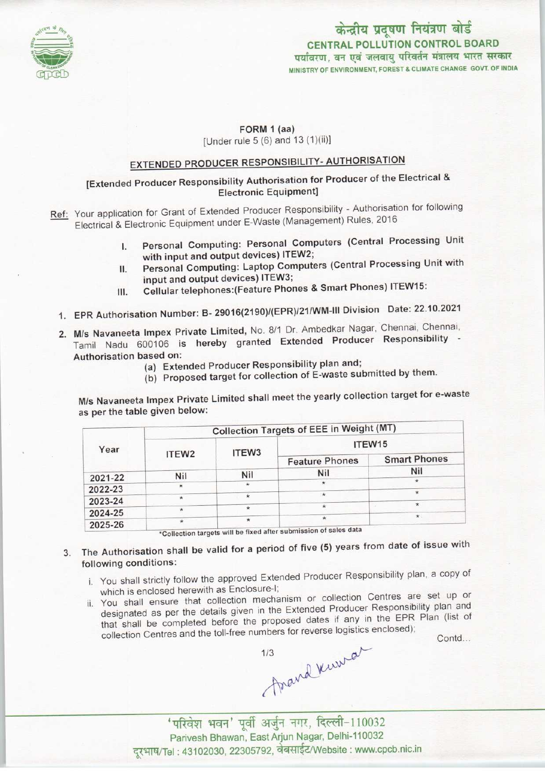

#### केन्द्रीय प्रदूषण नियंत्रण बोर्ड CENTRAL POLLUTION CONTROL BOARD पर्यावरण, वन एवं जलवाय परिवर्तन मंत्रालय भारत सरकार MINISTRY OF ENVIRONMENT, FOREST & CLIMATE CHANGE GOVT. OF INDIA

#### FORM 1 (aa)

[Under rule  $5(6)$  and  $13(1)(ii)$ ]

# EXTENDED PRODUCER RESPONSIBILITY- AUTHORISATION

#### [Extended Producer Responsibility Authorisation for Producer of the Electrical & Electronic Equipment]

Ref: Your application for Grant of Extended Producer Responsibility - Authorisation for following Electrical & Electronic Equipment under E-Waste (Management) Rules, 2016

- I. Personal Computing: Personal Computers (Central Processing Unit with input and output devices) 1TEW2;
- II. Personal Computing: Laptop Computers (Central Processing Unit with input and output devices) 1TEW3;
- III. Cellular telephones:(Feature Phones & Smart Phones) ITEW15:
- 1.EPR Authorisation Number: B- 29016(2190)/(EPR)/21/WM-lll Division Date: 22.10.2021
- 2. M/s Navaneeta Impex Private Limited, No. 8/1 Dr. Ambedkar Nagar, Chennai, Chennai, Tamil Nadu 600106 is hereby granted Extended Producer Responsibility - Authorisation based on:
	- (a) Extended Producer Responsibility plan and;
	- (b) Proposed target for collection of E-waste submitted by them.

M/s Navaneeta Impex Private Limited shall meet the yearly collection target for e-waste as per the table given below:

| Year    | Collection Targets of EEE in Weight (MT) |                   |                                                                  |                     |
|---------|------------------------------------------|-------------------|------------------------------------------------------------------|---------------------|
|         | ITEW <sub>2</sub>                        | ITEW <sub>3</sub> | ITEW15                                                           |                     |
|         |                                          |                   | <b>Feature Phones</b>                                            | <b>Smart Phones</b> |
| 2021-22 | <b>Nil</b>                               | Nil               | <b>Nil</b>                                                       | Nil                 |
|         | $\star$                                  | $\star$           | $\star$                                                          | $\star$             |
| 2022-23 |                                          | $\star$           | $\dot{\mathcal{H}}$                                              |                     |
| 2023-24 |                                          | $\star$           |                                                                  | ÷                   |
| 2024-25 |                                          |                   | $\star$                                                          | $\star$             |
| 2025-26 |                                          | $\star$           | *Collection targets will be fixed after submission of sales data |                     |

- 3. The Authorisation shall be valid for a period of five (5) years from date of issue with following conditions:
	- i. You shall strictly follow the approved Extended Producer Responsibility plan, a copy of which is enclosed herewith as Enclosure-I;
	- ii. You shall ensure that collection mechanism or collection Centres are set up or You shall ensure that collection mechanism or collection Centres are set up of designated as per the details given in the Extended Producer Responsibility plan and that shall be completed before the proposed dates if any i designated as per the details given in the Extended Producer Responsionly plan.<br>that shall be completed before the proposed dates if any in the EPR Plan (list of Contd...

Frand Kurrar

' परिवेश भवन' पूर्वी अर्जुन नगर, दिल्ली-110032 Parivesh Bhawan, East Arjun Nagar, Delhi-110032 दूरभाष/Tel: 43102030, 22305792, वेबसाईट/Website : www.cpcb.nic.in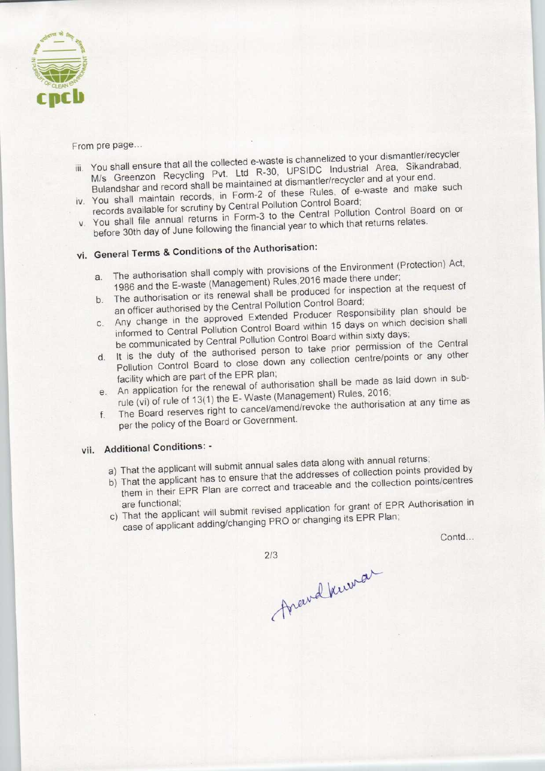

From pre page...

- ising that all that all that all the channelized to your dismantler/recycler You shall ensure that all the collected e-waste is channelized to your distribution of the N-30, LIPSIDC, Industrial Area, Sikandrabad M/s Greenzon Recycling Pvt. Ltd R-30, UPSIDC Industrial Area, Sikandrabad, Bulandshar and record shall be maintained at dismantler/recycler and at your end.
- iv. You shall maintain records, in Form-2 of these Rules, of e-waste and make such records available for scrutiny by Central Pollution Control Board; records available for scrutiny by Central Pollution Control Doard,
- You shall file annual returns in Form-3 to the Genear Following the financial year to which that returns relates. before 30th day of June following the financial year to which that returns relates.<br>vi. General Terms & Conditions of the Authorisation:

- a. The authorisation shall comply with provisions of the Environment (Protection) Act, a. The authorisation shall comply with provisions of the Enterpretation;<br>1986 and the E-waste (Management) Rules, 2016 made there under;<br>the request of
- b. The authorisation or its renewal shall be produced for inspection at the request of an officer authorised by the Central Pollution Control Board;
- b. The authorisation or its renewal shall be produced for the control.<br>An officer authorised by the Central Pollution Control Board;<br>the approved Extended Producer Responsibility plan should be Any change in the approved Extended Producer Responsibility production shall
- informed to Central Pollution Control Board within 15 days on which sixty days;<br>be communicated by Central Pollution Control Board within sixty days; d. It is the duty of the authorised person to take prior permission of the Central<br>Pollution Control Board to close down any collection centre/points or any other
- facility which are part of the EPR plan; e. An application for the renewal of authorisation shall be made as laid down in sub-
- rule (vi) of rule of 13(1) the E- Waste (Management) Rules, 2016; f. The Board reserves right to cancel/amend/revoke the authorisation at any time as
- per the policy of the Board or Government.

### vii. Additional Conditions: -

- a) That the applicant will submit annual sales data along with annual returns;
- a) That the applicant will submit annual sales data along will almuda returns, That the applicant has to ensure that the addresses of collection points centres
- them in their EPR Plan are correct and traceable and the collection points/centres<br>are functional;<br>c) That the applicant will submit revised application for grant of EPR Authorisation in
- case of applicant adding/changing PRO or changing its EPR Plan;

Contd...

 $2/3$ 

Frand Kurnar